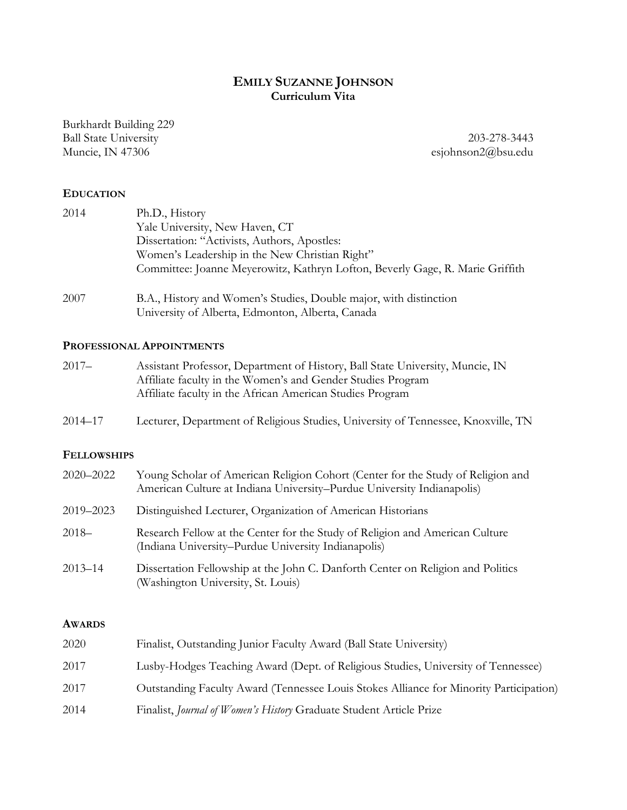# **EMILY SUZANNE JOHNSON Curriculum Vita**

Burkhardt Building 229 Ball State University 203-278-3443

Muncie, IN 47306 esjohnson2@bsu.edu

#### **EDUCATION**

| 2014 | Ph.D., History                                                                                                        |
|------|-----------------------------------------------------------------------------------------------------------------------|
|      | Yale University, New Haven, CT                                                                                        |
|      | Dissertation: "Activists, Authors, Apostles:                                                                          |
|      | Women's Leadership in the New Christian Right"                                                                        |
|      | Committee: Joanne Meyerowitz, Kathryn Lofton, Beverly Gage, R. Marie Griffith                                         |
| 2007 | B.A., History and Women's Studies, Double major, with distinction<br>University of Alberta, Edmonton, Alberta, Canada |

#### **PROFESSIONAL APPOINTMENTS**

| $2017 -$ | Assistant Professor, Department of History, Ball State University, Muncie, IN |
|----------|-------------------------------------------------------------------------------|
|          | Affiliate faculty in the Women's and Gender Studies Program                   |
|          | Affiliate faculty in the African American Studies Program                     |

2014–17 Lecturer, Department of Religious Studies, University of Tennessee, Knoxville, TN

#### **FELLOWSHIPS**

| $2020 - 2022$ | Young Scholar of American Religion Cohort (Center for the Study of Religion and<br>American Culture at Indiana University-Purdue University Indianapolis) |
|---------------|-----------------------------------------------------------------------------------------------------------------------------------------------------------|
| 2019-2023     | Distinguished Lecturer, Organization of American Historians                                                                                               |
| $2018-$       | Research Fellow at the Center for the Study of Religion and American Culture<br>(Indiana University–Purdue University Indianapolis)                       |
| $2013 - 14$   | Dissertation Fellowship at the John C. Danforth Center on Religion and Politics<br>(Washington University, St. Louis)                                     |

#### **AWARDS**

| 2020 | Finalist, Outstanding Junior Faculty Award (Ball State University)                     |
|------|----------------------------------------------------------------------------------------|
| 2017 | Lusby-Hodges Teaching Award (Dept. of Religious Studies, University of Tennessee)      |
| 2017 | Outstanding Faculty Award (Tennessee Louis Stokes Alliance for Minority Participation) |
| 2014 | Finalist, Journal of Women's History Graduate Student Article Prize                    |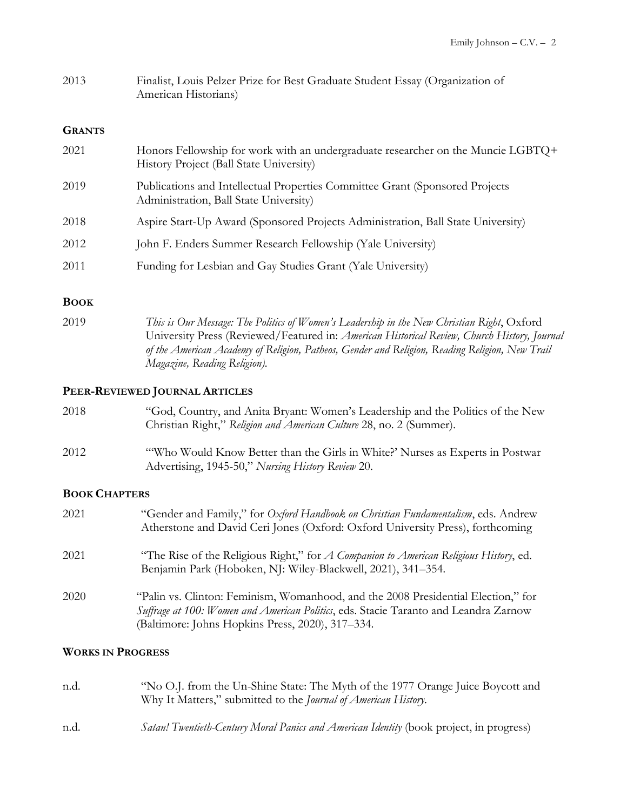| 2013 | Finalist, Louis Pelzer Prize for Best Graduate Student Essay (Organization of |
|------|-------------------------------------------------------------------------------|
|      | American Historians)                                                          |

#### **GRANTS**

| 2021 | Honors Fellowship for work with an undergraduate researcher on the Muncie LGBTQ+<br>History Project (Ball State University) |
|------|-----------------------------------------------------------------------------------------------------------------------------|
| 2019 | Publications and Intellectual Properties Committee Grant (Sponsored Projects<br>Administration, Ball State University)      |
| 2018 | Aspire Start-Up Award (Sponsored Projects Administration, Ball State University)                                            |
| 2012 | John F. Enders Summer Research Fellowship (Yale University)                                                                 |
| 2011 | Funding for Lesbian and Gay Studies Grant (Yale University)                                                                 |

#### **BOOK**

2019 *This is Our Message: The Politics of Women's Leadership in the New Christian Right*, Oxford University Press (Reviewed/Featured in: *American Historical Review, Church History, Journal of the American Academy of Religion, Patheos, Gender and Religion, Reading Religion, New Trail Magazine, Reading Religion).*

## **PEER-REVIEWED JOURNAL ARTICLES**

| 2018                                                     | "God, Country, and Anita Bryant: Women's Leadership and the Politics of the New<br>Christian Right," Religion and American Culture 28, no. 2 (Summer). |
|----------------------------------------------------------|--------------------------------------------------------------------------------------------------------------------------------------------------------|
| 2012                                                     | "Who Would Know Better than the Girls in White?' Nurses as Experts in Postwar<br>Advertising, 1945-50," Nursing History Review 20.                     |
| $D_{\alpha\alpha\gamma}$ $C_{\text{II}}$ $D_{\text{II}}$ |                                                                                                                                                        |

## **BOOK CHAPTERS**

| 2021 | "Gender and Family," for Oxford Handbook on Christian Fundamentalism, eds. Andrew<br>Atherstone and David Ceri Jones (Oxford: Oxford University Press), forthcoming                                                           |
|------|-------------------------------------------------------------------------------------------------------------------------------------------------------------------------------------------------------------------------------|
| 2021 | "The Rise of the Religious Right," for <i>A Companion to American Religious History</i> , ed.<br>Benjamin Park (Hoboken, NJ: Wiley-Blackwell, 2021), 341–354.                                                                 |
| 2020 | "Palin vs. Clinton: Feminism, Womanhood, and the 2008 Presidential Election," for<br>Suffrage at 100: Women and American Politics, eds. Stacie Taranto and Leandra Zarnow<br>(Baltimore: Johns Hopkins Press, 2020), 317–334. |

## **WORKS IN PROGRESS**

| n.d. | "No O.J. from the Un-Shine State: The Myth of the 1977 Orange Juice Boycott and<br>Why It Matters," submitted to the <i>Journal of American History</i> . |
|------|-----------------------------------------------------------------------------------------------------------------------------------------------------------|
| n.d. | <i>Satan! Twentieth-Century Moral Panics and American Identity (book project, in progress)</i>                                                            |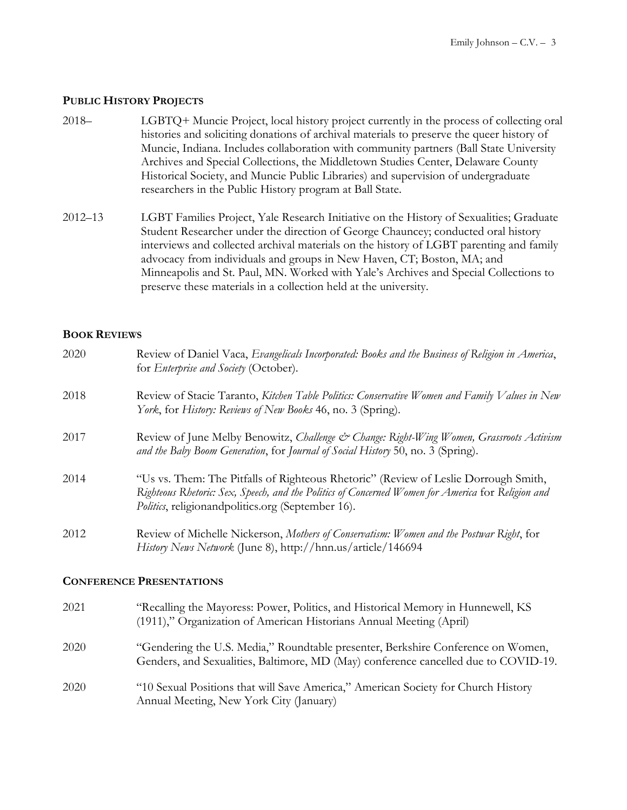#### **PUBLIC HISTORY PROJECTS**

- 2018– LGBTQ+ Muncie Project, local history project currently in the process of collecting oral histories and soliciting donations of archival materials to preserve the queer history of Muncie, Indiana. Includes collaboration with community partners (Ball State University Archives and Special Collections, the Middletown Studies Center, Delaware County Historical Society, and Muncie Public Libraries) and supervision of undergraduate researchers in the Public History program at Ball State.
- 2012–13 LGBT Families Project, Yale Research Initiative on the History of Sexualities; Graduate Student Researcher under the direction of George Chauncey; conducted oral history interviews and collected archival materials on the history of LGBT parenting and family advocacy from individuals and groups in New Haven, CT; Boston, MA; and Minneapolis and St. Paul, MN. Worked with Yale's Archives and Special Collections to preserve these materials in a collection held at the university.

#### **BOOK REVIEWS**

| 2020 | Review of Daniel Vaca, Evangelicals Incorporated: Books and the Business of Religion in America,<br>for <i>Enterprise and Society</i> (October).                                                                                                      |  |  |  |
|------|-------------------------------------------------------------------------------------------------------------------------------------------------------------------------------------------------------------------------------------------------------|--|--|--|
| 2018 | Review of Stacie Taranto, Kitchen Table Politics: Conservative Women and Family Values in New<br>York, for History: Reviews of New Books 46, no. 3 (Spring).                                                                                          |  |  |  |
| 2017 | Review of June Melby Benowitz, Challenge & Change: Right-Wing Women, Grassroots Activism<br>and the Baby Boom Generation, for Journal of Social History 50, no. 3 (Spring).                                                                           |  |  |  |
| 2014 | "Us vs. Them: The Pitfalls of Righteous Rhetoric" (Review of Leslie Dorrough Smith,<br>Righteous Rhetoric: Sex, Speech, and the Politics of Concerned Women for America for Religion and<br><i>Politics</i> , religionandpolitics.org (September 16). |  |  |  |
| 2012 | Review of Michelle Nickerson, Mothers of Conservatism: Women and the Postwar Right, for<br>History News Network (June 8), http://hnn.us/article/146694                                                                                                |  |  |  |
|      | <b>CONFERENCE PRESENTATIONS</b>                                                                                                                                                                                                                       |  |  |  |
| 2021 | "Recalling the Mayoress: Power, Politics, and Historical Memory in Hunnewell, KS<br>(1911)," Organization of American Historians Annual Meeting (April)                                                                                               |  |  |  |
| 2020 | "Gendering the U.S. Media," Roundtable presenter, Berkshire Conference on Women,                                                                                                                                                                      |  |  |  |

2020 "10 Sexual Positions that will Save America," American Society for Church History Annual Meeting, New York City (January)

Genders, and Sexualities, Baltimore, MD (May) conference cancelled due to COVID-19.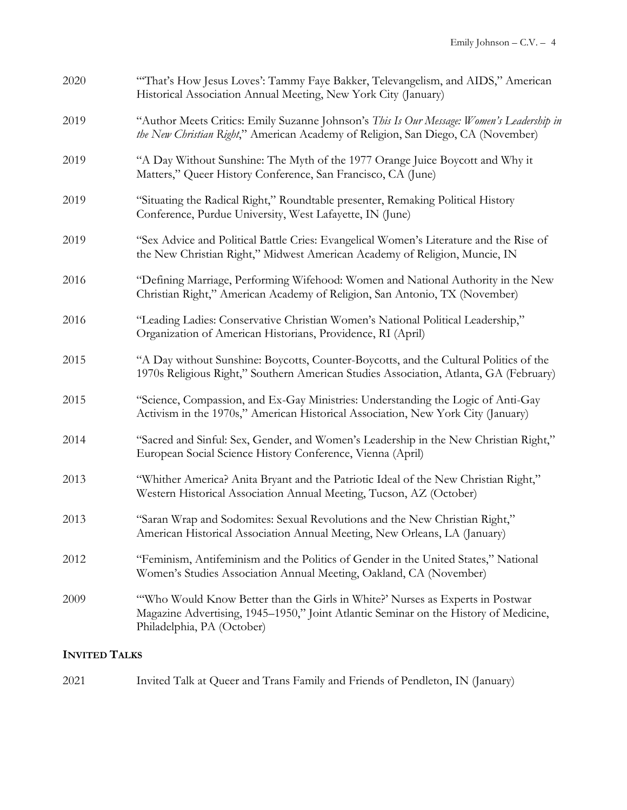| 2020 | "That's How Jesus Loves': Tammy Faye Bakker, Televangelism, and AIDS," American<br>Historical Association Annual Meeting, New York City (January)                                                   |  |  |  |  |
|------|-----------------------------------------------------------------------------------------------------------------------------------------------------------------------------------------------------|--|--|--|--|
| 2019 | "Author Meets Critics: Emily Suzanne Johnson's This Is Our Message: Women's Leadership in<br>the New Christian Right," American Academy of Religion, San Diego, CA (November)                       |  |  |  |  |
| 2019 | "A Day Without Sunshine: The Myth of the 1977 Orange Juice Boycott and Why it<br>Matters," Queer History Conference, San Francisco, CA (June)                                                       |  |  |  |  |
| 2019 | "Situating the Radical Right," Roundtable presenter, Remaking Political History<br>Conference, Purdue University, West Lafayette, IN (June)                                                         |  |  |  |  |
| 2019 | "Sex Advice and Political Battle Cries: Evangelical Women's Literature and the Rise of<br>the New Christian Right," Midwest American Academy of Religion, Muncie, IN                                |  |  |  |  |
| 2016 | "Defining Marriage, Performing Wifehood: Women and National Authority in the New<br>Christian Right," American Academy of Religion, San Antonio, TX (November)                                      |  |  |  |  |
| 2016 | "Leading Ladies: Conservative Christian Women's National Political Leadership,"<br>Organization of American Historians, Providence, RI (April)                                                      |  |  |  |  |
| 2015 | "A Day without Sunshine: Boycotts, Counter-Boycotts, and the Cultural Politics of the<br>1970s Religious Right," Southern American Studies Association, Atlanta, GA (February)                      |  |  |  |  |
| 2015 | "Science, Compassion, and Ex-Gay Ministries: Understanding the Logic of Anti-Gay<br>Activism in the 1970s," American Historical Association, New York City (January)                                |  |  |  |  |
| 2014 | "Sacred and Sinful: Sex, Gender, and Women's Leadership in the New Christian Right,"<br>European Social Science History Conference, Vienna (April)                                                  |  |  |  |  |
| 2013 | "Whither America? Anita Bryant and the Patriotic Ideal of the New Christian Right,"<br>Western Historical Association Annual Meeting, Tucson, AZ (October)                                          |  |  |  |  |
| 2013 | "Saran Wrap and Sodomites: Sexual Revolutions and the New Christian Right,"<br>American Historical Association Annual Meeting, New Orleans, LA (January)                                            |  |  |  |  |
| 2012 | "Feminism, Antifeminism and the Politics of Gender in the United States," National<br>Women's Studies Association Annual Meeting, Oakland, CA (November)                                            |  |  |  |  |
| 2009 | "Who Would Know Better than the Girls in White?' Nurses as Experts in Postwar<br>Magazine Advertising, 1945–1950," Joint Atlantic Seminar on the History of Medicine,<br>Philadelphia, PA (October) |  |  |  |  |

# **INVITED TALKS**

| 2021 |  |  |  | Invited Talk at Queer and Trans Family and Friends of Pendleton, IN (January) |  |
|------|--|--|--|-------------------------------------------------------------------------------|--|
|------|--|--|--|-------------------------------------------------------------------------------|--|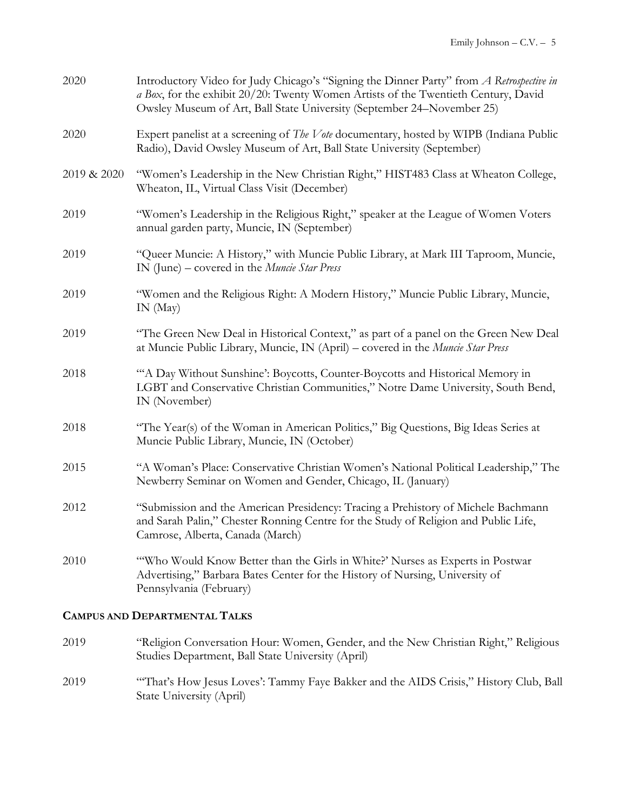| 2020        | Introductory Video for Judy Chicago's "Signing the Dinner Party" from A Retrospective in<br>a Box, for the exhibit 20/20: Twenty Women Artists of the Twentieth Century, David<br>Owsley Museum of Art, Ball State University (September 24–November 25) |
|-------------|----------------------------------------------------------------------------------------------------------------------------------------------------------------------------------------------------------------------------------------------------------|
| 2020        | Expert panelist at a screening of <i>The Vote</i> documentary, hosted by WIPB (Indiana Public<br>Radio), David Owsley Museum of Art, Ball State University (September)                                                                                   |
| 2019 & 2020 | "Women's Leadership in the New Christian Right," HIST483 Class at Wheaton College,<br>Wheaton, IL, Virtual Class Visit (December)                                                                                                                        |
| 2019        | "Women's Leadership in the Religious Right," speaker at the League of Women Voters<br>annual garden party, Muncie, IN (September)                                                                                                                        |
| 2019        | "Queer Muncie: A History," with Muncie Public Library, at Mark III Taproom, Muncie,<br>IN (June) – covered in the <i>Muncie Star Press</i>                                                                                                               |
| 2019        | "Women and the Religious Right: A Modern History," Muncie Public Library, Muncie,<br>IN(May)                                                                                                                                                             |
| 2019        | "The Green New Deal in Historical Context," as part of a panel on the Green New Deal<br>at Muncie Public Library, Muncie, IN (April) – covered in the Muncie Star Press                                                                                  |
| 2018        | "A Day Without Sunshine': Boycotts, Counter-Boycotts and Historical Memory in<br>LGBT and Conservative Christian Communities," Notre Dame University, South Bend,<br>IN (November)                                                                       |
| 2018        | "The Year(s) of the Woman in American Politics," Big Questions, Big Ideas Series at<br>Muncie Public Library, Muncie, IN (October)                                                                                                                       |
| 2015        | "A Woman's Place: Conservative Christian Women's National Political Leadership," The<br>Newberry Seminar on Women and Gender, Chicago, IL (January)                                                                                                      |
| 2012        | "Submission and the American Presidency: Tracing a Prehistory of Michele Bachmann<br>and Sarah Palin," Chester Ronning Centre for the Study of Religion and Public Life,<br>Camrose, Alberta, Canada (March)                                             |
| 2010        | "Who Would Know Better than the Girls in White?' Nurses as Experts in Postwar<br>Advertising," Barbara Bates Center for the History of Nursing, University of<br>Pennsylvania (February)                                                                 |

# **CAMPUS AND DEPARTMENTAL TALKS**

| 2019 | "Religion Conversation Hour: Women, Gender, and the New Christian Right," Religious<br>Studies Department, Ball State University (April) |
|------|------------------------------------------------------------------------------------------------------------------------------------------|
| 2019 | "That's How Jesus Loves': Tammy Faye Bakker and the AIDS Crisis," History Club, Ball<br>State University (April)                         |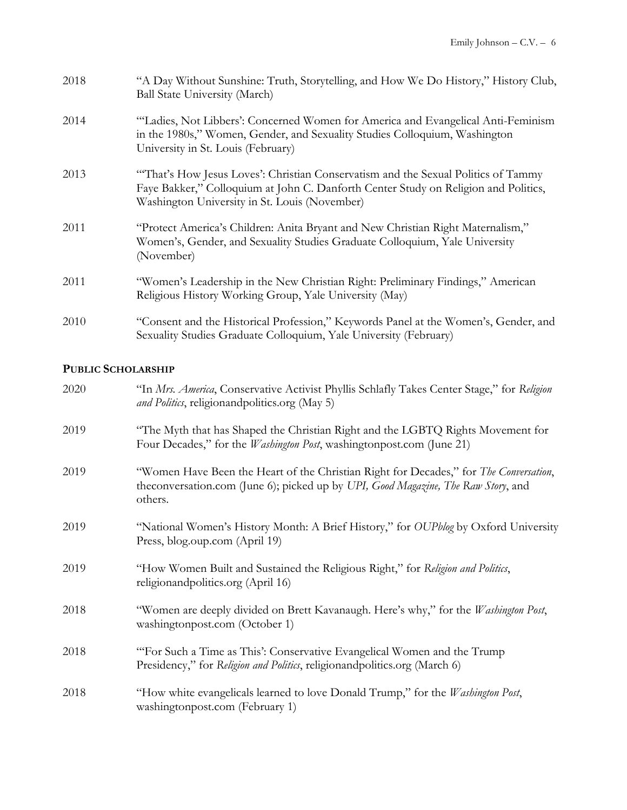| 2018 | "A Day Without Sunshine: Truth, Storytelling, and How We Do History," History Club,<br><b>Ball State University (March)</b>                                                                                               |
|------|---------------------------------------------------------------------------------------------------------------------------------------------------------------------------------------------------------------------------|
| 2014 | "Ladies, Not Libbers': Concerned Women for America and Evangelical Anti-Feminism<br>in the 1980s," Women, Gender, and Sexuality Studies Colloquium, Washington<br>University in St. Louis (February)                      |
| 2013 | "That's How Jesus Loves': Christian Conservatism and the Sexual Politics of Tammy<br>Faye Bakker," Colloquium at John C. Danforth Center Study on Religion and Politics,<br>Washington University in St. Louis (November) |
| 2011 | "Protect America's Children: Anita Bryant and New Christian Right Maternalism,"<br>Women's, Gender, and Sexuality Studies Graduate Colloquium, Yale University<br>(November)                                              |
| 2011 | "Women's Leadership in the New Christian Right: Preliminary Findings," American<br>Religious History Working Group, Yale University (May)                                                                                 |
| 2010 | "Consent and the Historical Profession," Keywords Panel at the Women's, Gender, and<br>Sexuality Studies Graduate Colloquium, Yale University (February)                                                                  |

#### **PUBLIC SCHOLARSHIP**

| 2020 | "In Mrs. America, Conservative Activist Phyllis Schlafly Takes Center Stage," for Religion<br>and Politics, religionandpolitics.org (May 5)                                           |
|------|---------------------------------------------------------------------------------------------------------------------------------------------------------------------------------------|
| 2019 | "The Myth that has Shaped the Christian Right and the LGBTQ Rights Movement for<br>Four Decades," for the <i>Washington Post</i> , washingtonpost.com (June 21)                       |
| 2019 | "Women Have Been the Heart of the Christian Right for Decades," for The Conversation,<br>theconversation.com (June 6); picked up by UPI, Good Magazine, The Raw Story, and<br>others. |
| 2019 | "National Women's History Month: A Brief History," for OUPblog by Oxford University<br>Press, blog.oup.com (April 19)                                                                 |
| 2019 | "How Women Built and Sustained the Religious Right," for Religion and Politics,<br>religionandpolitics.org (April 16)                                                                 |
| 2018 | "Women are deeply divided on Brett Kavanaugh. Here's why," for the Washington Post,<br>washingtonpost.com (October 1)                                                                 |
| 2018 | "For Such a Time as This': Conservative Evangelical Women and the Trump<br>Presidency," for Religion and Politics, religionandpolitics.org (March 6)                                  |
| 2018 | "How white evangelicals learned to love Donald Trump," for the Washington Post,<br>washingtonpost.com (February 1)                                                                    |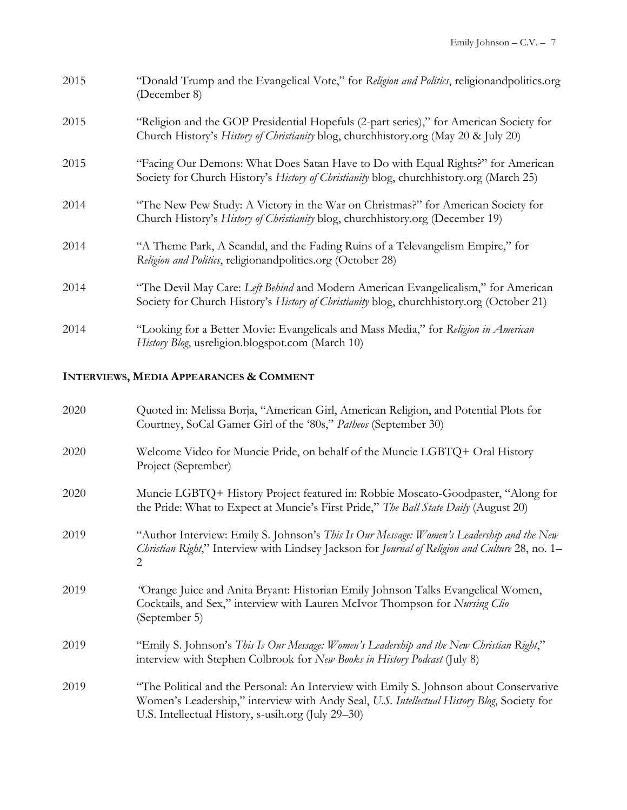| 2015 | "Donald Trump and the Evangelical Vote," for Religion and Politics, religionand politics.org<br>(December 8)                                                                    |
|------|---------------------------------------------------------------------------------------------------------------------------------------------------------------------------------|
| 2015 | "Religion and the GOP Presidential Hopefuls (2-part series)," for American Society for<br>Church History's History of Christianity blog, churchhistory.org (May 20 & July 20)   |
| 2015 | "Facing Our Demons: What Does Satan Have to Do with Equal Rights?" for American<br>Society for Church History's History of Christianity blog, churchhistory.org (March 25)      |
| 2014 | "The New Pew Study: A Victory in the War on Christmas?" for American Society for<br>Church History's History of Christianity blog, churchhistory.org (December 19)              |
| 2014 | "A Theme Park, A Scandal, and the Fading Ruins of a Televangelism Empire," for<br>Religion and Politics, religionandpolitics.org (October 28)                                   |
| 2014 | "The Devil May Care: Left Behind and Modern American Evangelicalism," for American<br>Society for Church History's History of Christianity blog, churchhistory.org (October 21) |
| 2014 | "Looking for a Better Movie: Evangelicals and Mass Media," for Religion in American<br>History Blog, usreligion.blogspot.com (March 10)                                         |

# **INTERVIEWS, MEDIA APPEARANCES & COMMENT**

| 2020 | Quoted in: Melissa Borja, "American Girl, American Religion, and Potential Plots for<br>Courtney, SoCal Gamer Girl of the '80s," Patheos (September 30)                                                                                    |
|------|--------------------------------------------------------------------------------------------------------------------------------------------------------------------------------------------------------------------------------------------|
| 2020 | Welcome Video for Muncie Pride, on behalf of the Muncie LGBTQ+ Oral History<br>Project (September)                                                                                                                                         |
| 2020 | Muncie LGBTQ+ History Project featured in: Robbie Moscato-Goodpaster, "Along for<br>the Pride: What to Expect at Muncie's First Pride," The Ball State Daily (August 20)                                                                   |
| 2019 | "Author Interview: Emily S. Johnson's This Is Our Message: Women's Leadership and the New<br>Christian Right," Interview with Lindsey Jackson for Journal of Religion and Culture 28, no. 1-<br>2                                          |
| 2019 | "Orange Juice and Anita Bryant: Historian Emily Johnson Talks Evangelical Women,<br>Cocktails, and Sex," interview with Lauren McIvor Thompson for Nursing Clio<br>(September 5)                                                           |
| 2019 | "Emily S. Johnson's This Is Our Message: Women's Leadership and the New Christian Right,"<br>interview with Stephen Colbrook for New Books in History Podcast (July 8)                                                                     |
| 2019 | "The Political and the Personal: An Interview with Emily S. Johnson about Conservative<br>Women's Leadership," interview with Andy Seal, U.S. Intellectual History Blog, Society for<br>U.S. Intellectual History, s-usih.org (July 29-30) |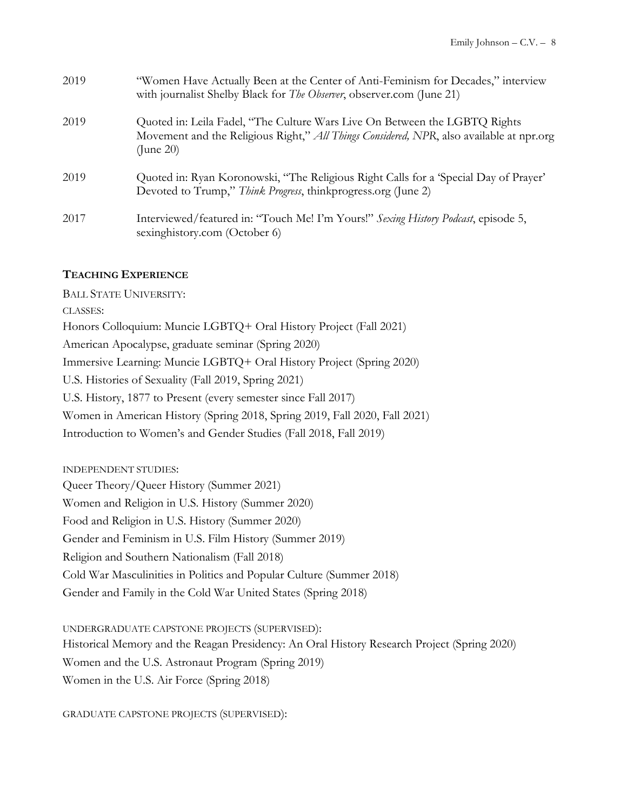| 2019 | "Women Have Actually Been at the Center of Anti-Feminism for Decades," interview<br>with journalist Shelby Black for <i>The Observer</i> , observer.com (June 21)                         |
|------|-------------------------------------------------------------------------------------------------------------------------------------------------------------------------------------------|
| 2019 | Quoted in: Leila Fadel, "The Culture Wars Live On Between the LGBTQ Rights<br>Movement and the Religious Right," All Things Considered, NPR, also available at npr.org<br>$($ June 20 $)$ |
| 2019 | Quoted in: Ryan Koronowski, "The Religious Right Calls for a 'Special Day of Prayer'<br>Devoted to Trump," Think Progress, thinkprogress.org (June 2)                                     |
| 2017 | Interviewed/featured in: "Touch Me! I'm Yours!" Sexing History Podcast, episode 5,<br>sexinghistory.com (October 6)                                                                       |

#### **TEACHING EXPERIENCE**

BALL STATE UNIVERSITY: CLASSES: Honors Colloquium: Muncie LGBTQ+ Oral History Project (Fall 2021) American Apocalypse, graduate seminar (Spring 2020) Immersive Learning: Muncie LGBTQ+ Oral History Project (Spring 2020) U.S. Histories of Sexuality (Fall 2019, Spring 2021) U.S. History, 1877 to Present (every semester since Fall 2017) Women in American History (Spring 2018, Spring 2019, Fall 2020, Fall 2021) Introduction to Women's and Gender Studies (Fall 2018, Fall 2019)

INDEPENDENT STUDIES: Queer Theory/Queer History (Summer 2021) Women and Religion in U.S. History (Summer 2020) Food and Religion in U.S. History (Summer 2020) Gender and Feminism in U.S. Film History (Summer 2019) Religion and Southern Nationalism (Fall 2018) Cold War Masculinities in Politics and Popular Culture (Summer 2018) Gender and Family in the Cold War United States (Spring 2018)

UNDERGRADUATE CAPSTONE PROJECTS (SUPERVISED): Historical Memory and the Reagan Presidency: An Oral History Research Project (Spring 2020) Women and the U.S. Astronaut Program (Spring 2019) Women in the U.S. Air Force (Spring 2018)

GRADUATE CAPSTONE PROJECTS (SUPERVISED):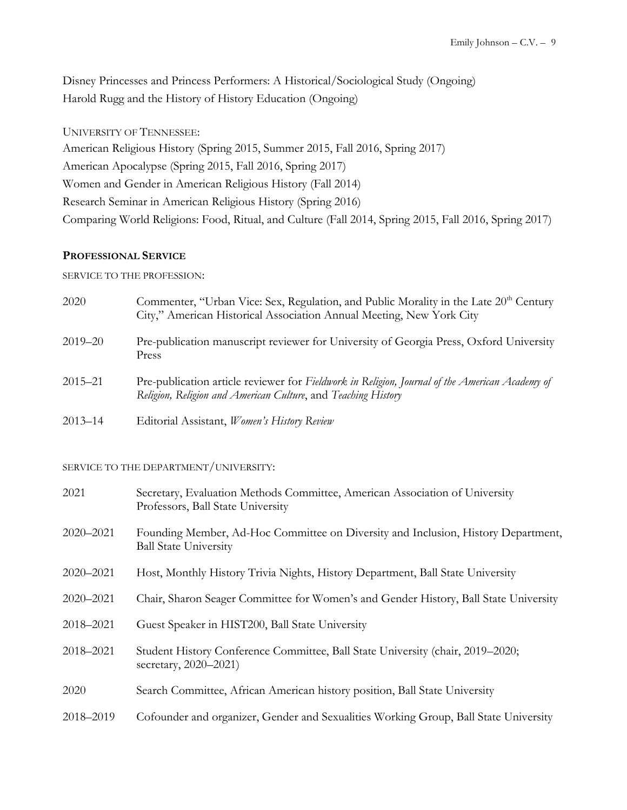Disney Princesses and Princess Performers: A Historical/Sociological Study (Ongoing) Harold Rugg and the History of History Education (Ongoing)

UNIVERSITY OF TENNESSEE: American Religious History (Spring 2015, Summer 2015, Fall 2016, Spring 2017) American Apocalypse (Spring 2015, Fall 2016, Spring 2017) Women and Gender in American Religious History (Fall 2014) Research Seminar in American Religious History (Spring 2016) Comparing World Religions: Food, Ritual, and Culture (Fall 2014, Spring 2015, Fall 2016, Spring 2017)

#### **PROFESSIONAL SERVICE**

SERVICE TO THE PROFESSION:

| 2020        | Commenter, "Urban Vice: Sex, Regulation, and Public Morality in the Late 20 <sup>th</sup> Century<br>City," American Historical Association Annual Meeting, New York City |
|-------------|---------------------------------------------------------------------------------------------------------------------------------------------------------------------------|
| $2019 - 20$ | Pre-publication manuscript reviewer for University of Georgia Press, Oxford University<br>Press                                                                           |
| $2015 - 21$ | Pre-publication article reviewer for Fieldwork in Religion, Journal of the American Academy of<br>Religion, Religion and American Culture, and Teaching History           |
| $2013 - 14$ | Editorial Assistant, Women's History Review                                                                                                                               |

#### SERVICE TO THE DEPARTMENT/UNIVERSITY:

| 2021      | Secretary, Evaluation Methods Committee, American Association of University<br>Professors, Ball State University  |
|-----------|-------------------------------------------------------------------------------------------------------------------|
| 2020-2021 | Founding Member, Ad-Hoc Committee on Diversity and Inclusion, History Department,<br><b>Ball State University</b> |
| 2020-2021 | Host, Monthly History Trivia Nights, History Department, Ball State University                                    |
| 2020-2021 | Chair, Sharon Seager Committee for Women's and Gender History, Ball State University                              |
| 2018-2021 | Guest Speaker in HIST200, Ball State University                                                                   |
| 2018-2021 | Student History Conference Committee, Ball State University (chair, 2019–2020;<br>secretary, 2020–2021)           |
| 2020      | Search Committee, African American history position, Ball State University                                        |
| 2018-2019 | Cofounder and organizer, Gender and Sexualities Working Group, Ball State University                              |